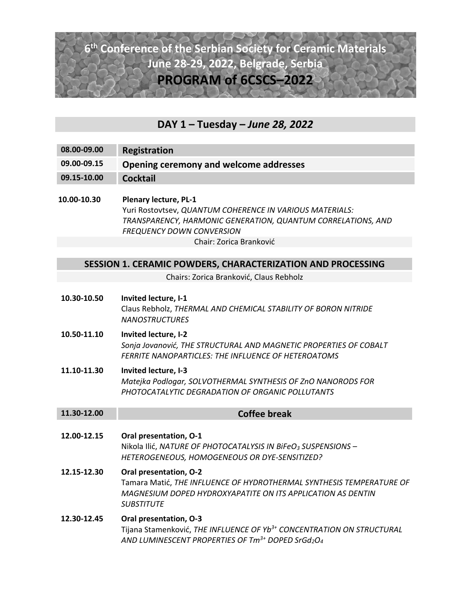## **6th Conference of the Serbian Society for Ceramic Materials June 28‐29, 2022, Belgrade, Serbia PROGRAM of 6CSCS–2022**

### **DAY 1 – Tuesday –** *June 28, 2022*

- **08.00‐09.00 Registration 09.00‐09.15 Opening ceremony and welcome addresses 09.15‐10.00 Cocktail**
- **10.00‐10.30 Plenary lecture, PL‐1**  Yuri Rostovtsev, *QUANTUM COHERENCE IN VARIOUS MATERIALS: TRANSPARENCY, HARMONIC GENERATION, QUANTUM CORRELATIONS, AND FREQUENCY DOWN CONVERSION*  Chair: Zorica Branković

#### **SESSION 1. CERAMIC POWDERS, CHARACTERIZATION AND PROCESSING**

Chairs: Zorica Branković, Claus Rebholz

**10.30‐10.50 Invited lecture, I‐1**  Claus Rebholz, *THERMAL AND CHEMICAL STABILITY OF BORON NITRIDE NANOSTRUCTURES* **10.50‐11.10 Invited lecture, I‐2** *Sonja Jovanović, THE STRUCTURAL AND MAGNETIC PROPERTIES OF COBALT FERRITE NANOPARTICLES: THE INFLUENCE OF HETEROATOMS*  **11.10‐11.30 Invited lecture, I‐3** *Matejka Podlogar, SOLVOTHERMAL SYNTHESIS OF ZnO NANORODS FOR PHOTOCATALYTIC DEGRADATION OF ORGANIC POLLUTANTS*  **11.30‐12.00 Coffee break 12.00‐12.15 Oral presentation, O‐1**  Nikola Ilić, *NATURE OF PHOTOCATALYSIS IN BiFeO3 SUSPENSIONS – HETEROGENEOUS, HOMOGENEOUS OR DYE‐SENSITIZED?*  **12.15‐12.30 Oral presentation, O‐2** Tamara Matić, *THE INFLUENCE OF HYDROTHERMAL SYNTHESIS TEMPERATURE OF MAGNESIUM DOPED HYDROXYAPATITE ON ITS APPLICATION AS DENTIN SUBSTITUTE*  **12.30‐12.45 Oral presentation, O‐3** Tijana Stamenković, *THE INFLUENCE OF Yb3+ CONCENTRATION ON STRUCTURAL AND LUMINESCENT PROPERTIES OF Tm3+ DOPED SrGd2O4*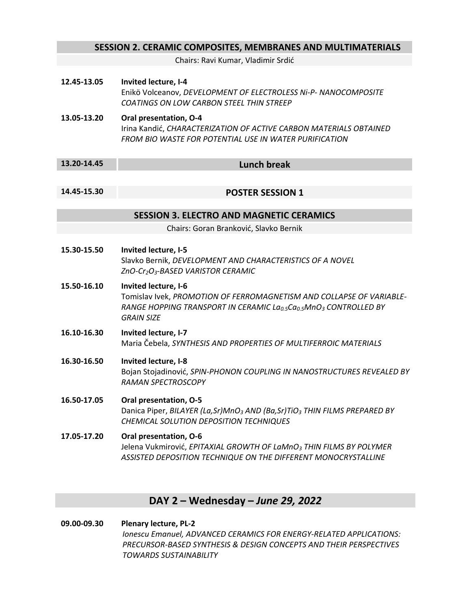| <b>SESSION 2. CERAMIC COMPOSITES, MEMBRANES AND MULTIMATERIALS</b> |                                                                                                                                                                                                                            |  |
|--------------------------------------------------------------------|----------------------------------------------------------------------------------------------------------------------------------------------------------------------------------------------------------------------------|--|
|                                                                    | Chairs: Ravi Kumar, Vladimir Srdić                                                                                                                                                                                         |  |
| 12.45-13.05                                                        | Invited lecture, I-4<br>Enikö Volceanov, DEVELOPMENT OF ELECTROLESS Ni-P- NANOCOMPOSITE<br>COATINGS ON LOW CARBON STEEL THIN STREEP                                                                                        |  |
| 13.05-13.20                                                        | Oral presentation, O-4<br>Irina Kandić, CHARACTERIZATION OF ACTIVE CARBON MATERIALS OBTAINED<br>FROM BIO WASTE FOR POTENTIAL USE IN WATER PURIFICATION                                                                     |  |
| 13.20-14.45                                                        | <b>Lunch break</b>                                                                                                                                                                                                         |  |
| 14.45-15.30                                                        | <b>POSTER SESSION 1</b>                                                                                                                                                                                                    |  |
| <b>SESSION 3. ELECTRO AND MAGNETIC CERAMICS</b>                    |                                                                                                                                                                                                                            |  |
|                                                                    | Chairs: Goran Branković, Slavko Bernik                                                                                                                                                                                     |  |
| 15.30-15.50                                                        | Invited lecture, I-5<br>Slavko Bernik, DEVELOPMENT AND CHARACTERISTICS OF A NOVEL<br>ZnO-Cr2O3-BASED VARISTOR CERAMIC                                                                                                      |  |
| 15.50-16.10                                                        | Invited lecture, I-6<br>Tomislav Ivek, PROMOTION OF FERROMAGNETISM AND COLLAPSE OF VARIABLE-<br>RANGE HOPPING TRANSPORT IN CERAMIC La <sub>0.5</sub> Ca <sub>0.5</sub> MnO <sub>3</sub> CONTROLLED BY<br><b>GRAIN SIZE</b> |  |
| 16.10-16.30                                                        | Invited lecture, I-7<br>Maria Čebela, SYNTHESIS AND PROPERTIES OF MULTIFERROIC MATERIALS                                                                                                                                   |  |
| 16.30-16.50                                                        | Invited lecture, I-8<br>Bojan Stojadinović, SPIN-PHONON COUPLING IN NANOSTRUCTURES REVEALED BY<br>RAMAN SPECTROSCOPY                                                                                                       |  |
| 16.50-17.05                                                        | Oral presentation, O-5<br>Danica Piper, BILAYER (La, Sr)MnO <sub>3</sub> AND (Ba, Sr)TiO <sub>3</sub> THIN FILMS PREPARED BY<br>CHEMICAL SOLUTION DEPOSITION TECHNIQUES                                                    |  |
| 17.05-17.20                                                        | Oral presentation, O-6<br>Jelena Vukmirović, EPITAXIAL GROWTH OF LaMnO <sub>3</sub> THIN FILMS BY POLYMER<br>ASSISTED DEPOSITION TECHNIQUE ON THE DIFFERENT MONOCRYSTALLINE                                                |  |

## **DAY 2 – Wednesday –** *June 29, 2022*

**09.00‐09.30 Plenary lecture, PL‐2**  *Ionescu Emanuel, ADVANCED CERAMICS FOR ENERGY‐RELATED APPLICATIONS: PRECURSOR‐BASED SYNTHESIS & DESIGN CONCEPTS AND THEIR PERSPECTIVES TOWARDS SUSTAINABILITY*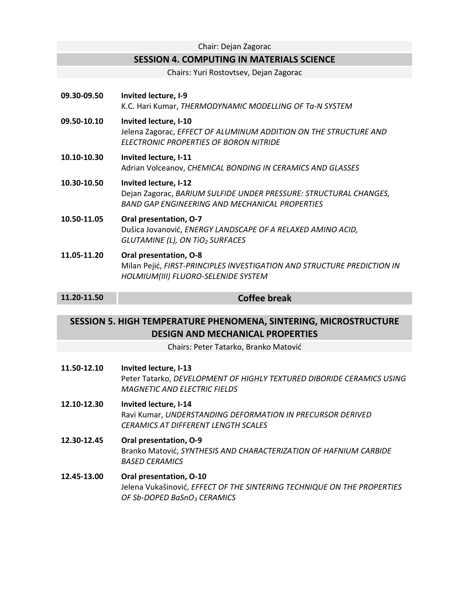#### Chair: Dejan Zagorac

### **SESSION 4. COMPUTING IN MATERIALS SCIENCE**

Chairs: Yuri Rostovtsev, Dejan Zagorac

| 09.30-09.50                                                                                                 | Invited lecture, I-9<br>K.C. Hari Kumar, THERMODYNAMIC MODELLING OF Ta-N SYSTEM                                                                     |  |
|-------------------------------------------------------------------------------------------------------------|-----------------------------------------------------------------------------------------------------------------------------------------------------|--|
| 09.50-10.10                                                                                                 | Invited lecture, I-10<br>Jelena Zagorac, EFFECT OF ALUMINUM ADDITION ON THE STRUCTURE AND<br>ELECTRONIC PROPERTIES OF BORON NITRIDE                 |  |
| 10.10-10.30                                                                                                 | Invited lecture, I-11<br>Adrian Volceanov, CHEMICAL BONDING IN CERAMICS AND GLASSES                                                                 |  |
| 10.30-10.50                                                                                                 | Invited lecture, I-12<br>Dejan Zagorac, BARIUM SULFIDE UNDER PRESSURE: STRUCTURAL CHANGES,<br><b>BAND GAP ENGINEERING AND MECHANICAL PROPERTIES</b> |  |
| 10.50-11.05                                                                                                 | Oral presentation, O-7<br>Dušica Jovanović, ENERGY LANDSCAPE OF A RELAXED AMINO ACID,<br>GLUTAMINE (L), ON TIO2 SURFACES                            |  |
| 11.05-11.20                                                                                                 | Oral presentation, O-8<br>Milan Pejić, FIRST-PRINCIPLES INVESTIGATION AND STRUCTURE PREDICTION IN<br>HOLMIUM(III) FLUORO-SELENIDE SYSTEM            |  |
| 11.20-11.50                                                                                                 | <b>Coffee break</b>                                                                                                                                 |  |
|                                                                                                             |                                                                                                                                                     |  |
| SESSION 5. HIGH TEMPERATURE PHENOMENA, SINTERING, MICROSTRUCTURE<br><b>DESIGN AND MECHANICAL PROPERTIES</b> |                                                                                                                                                     |  |
|                                                                                                             | Chairs: Peter Tatarko, Branko Matović                                                                                                               |  |
|                                                                                                             |                                                                                                                                                     |  |
| 11.50-12.10                                                                                                 | Invited lecture, I-13<br>Peter Tatarko, DEVELOPMENT OF HIGHLY TEXTURED DIBORIDE CERAMICS USING<br><b>MAGNETIC AND ELECTRIC FIELDS</b>               |  |
| 12.10-12.30                                                                                                 | Invited lecture, I-14<br>Ravi Kumar, UNDERSTANDING DEFORMATION IN PRECURSOR DERIVED<br><b>CERAMICS AT DIFFERENT LENGTH SCALES</b>                   |  |

#### **12.45‐13.00 Oral presentation, O‐10**  Jelena Vukašinović, *EFFECT OF THE SINTERING TECHNIQUE ON THE PROPERTIES OF Sb‐DOPED BaSnO3 CERAMICS*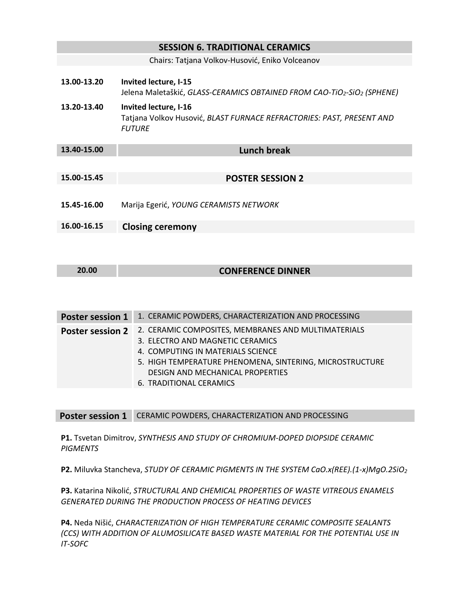# **SESSION 6. TRADITIONAL CERAMICS** Chairs: Tatjana Volkov‐Husović, Eniko Volceanov **13.00‐13.20 Invited lecture, I‐15**  Jelena Maletaškić, *GLASS‐CERAMICS OBTAINED FROM CAO‐TiO2‐SiO2 (SPHENE)*  **13.20‐13.40 Invited lecture, I‐16**  Tatjana Volkov Husović, *BLAST FURNACE REFRACTORIES: PAST, PRESENT AND FUTURE*  **13.40‐15.00 Lunch break 15.00‐15.45 POSTER SESSION 2 15.45‐16.00**  Marija Egerić, *YOUNG CERAMISTS NETWORK*  **16.00‐16.15 Closing ceremony**

| 20.00 | <b>CONFERENCE DINNER</b> |
|-------|--------------------------|
|       |                          |

| <b>Poster session 1</b> | 1. CERAMIC POWDERS, CHARACTERIZATION AND PROCESSING                                                                                                                                                                                                     |
|-------------------------|---------------------------------------------------------------------------------------------------------------------------------------------------------------------------------------------------------------------------------------------------------|
| <b>Poster session 2</b> | 2. CERAMIC COMPOSITES, MEMBRANES AND MULTIMATERIALS<br>3. ELECTRO AND MAGNETIC CERAMICS<br>4. COMPUTING IN MATERIALS SCIENCE<br>5. HIGH TEMPERATURE PHENOMENA, SINTERING, MICROSTRUCTURE<br>DESIGN AND MECHANICAL PROPERTIES<br>6. TRADITIONAL CERAMICS |

**Poster session 1**  CERAMIC POWDERS, CHARACTERIZATION AND PROCESSING

**P1.** Tsvetan Dimitrov, *SYNTHESIS AND STUDY OF CHROMIUM‐DOPED DIOPSIDE CERAMIC PIGMENTS* 

**P2.** Miluvka Stancheva, *STUDY OF CERAMIC PIGMENTS IN THE SYSTEM CaO.x(REE).(1‐x)MgO.2SiO2* 

**P3.** Katarina Nikolić, *STRUCTURAL AND CHEMICAL PROPERTIES OF WASTE VITREOUS ENAMELS GENERATED DURING THE PRODUCTION PROCESS OF HEATING DEVICES* 

**P4.** Neda Nišić, *CHARACTERIZATION OF HIGH TEMPERATURE CERAMIC COMPOSITE SEALANTS (CCS) WITH ADDITION OF ALUMOSILICATE BASED WASTE MATERIAL FOR THE POTENTIAL USE IN IT‐SOFC*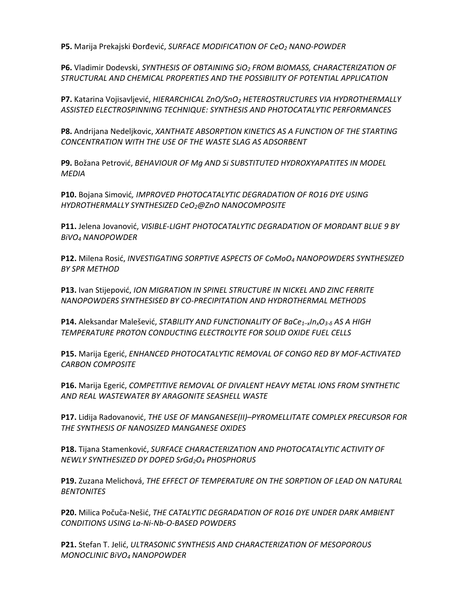**P5.** Marija Prekajski Đorđević, *SURFACE MODIFICATION OF CeO2 NANO‐POWDER*

**P6.** Vladimir Dodevski, *SYNTHESIS OF OBTAINING SiO2 FROM BIOMASS, CHARACTERIZATION OF STRUCTURAL AND CHEMICAL PROPERTIES AND THE POSSIBILITY OF POTENTIAL APPLICATION* 

**P7.** Katarina Vojisavljević, *HIERARCHICAL ZnO/SnO2 HETEROSTRUCTURES VIA HYDROTHERMALLY ASSISTED ELECTROSPINNING TECHNIQUE: SYNTHESIS AND PHOTOCATALYTIC PERFORMANCES*

**P8.** Andrijana Nedeljkovic, *XANTHATE ABSORPTION KINETICS AS A FUNCTION OF THE STARTING CONCENTRATION WITH THE USE OF THE WASTE SLAG AS ADSORBENT*

**P9.** Božana Petrović, *BEHAVIOUR OF Mg AND Si SUBSTITUTED HYDROXYAPATITES IN MODEL MEDIA* 

**P10.** Bojana Simović*, IMPROVED PHOTOCATALYTIC DEGRADATION OF RO16 DYE USING HYDROTHERMALLY SYNTHESIZED CeO2@ZnO NANOCOMPOSITE* 

**P11.** Jelena Jovanović, *VISIBLE‐LIGHT PHOTOCATALYTIC DEGRADATION OF MORDANT BLUE 9 BY BiVO4 NANOPOWDER* 

**P12.** Milena Rosić, *INVESTIGATING SORPTIVE ASPECTS OF CoMoO4 NANOPOWDERS SYNTHESIZED BY SPR METHOD* 

**P13.** Ivan Stijepović, *ION MIGRATION IN SPINEL STRUCTURE IN NICKEL AND ZINC FERRITE NANOPOWDERS SYNTHESISED BY CO‐PRECIPITATION AND HYDROTHERMAL METHODS* 

**P14.** Aleksandar Malešević, *STABILITY AND FUNCTIONALITY OF BaCe1–xInxO3‐δ AS A HIGH TEMPERATURE PROTON CONDUCTING ELECTROLYTE FOR SOLID OXIDE FUEL CELLS*

**P15.** Marija Egerić, *ENHANCED PHOTOCATALYTIC REMOVAL OF CONGO RED BY MOF‐ACTIVATED CARBON COMPOSITE* 

**P16.** Marija Egerić, *COMPETITIVE REMOVAL OF DIVALENT HEAVY METAL IONS FROM SYNTHETIC AND REAL WASTEWATER BY ARAGONITE SEASHELL WASTE*

**P17.** Lidija Radovanović, *THE USE OF MANGANESE(II)–PYROMELLITATE COMPLEX PRECURSOR FOR THE SYNTHESIS OF NANOSIZED MANGANESE OXIDES*

**P18.** Tijana Stamenković, *SURFACE CHARACTERIZATION AND PHOTOCATALYTIC ACTIVITY OF NEWLY SYNTHESIZED DY DOPED SrGd2O4 PHOSPHORUS*

**P19.** Zuzana Melichová, *THE EFFECT OF TEMPERATURE ON THE SORPTION OF LEAD ON NATURAL BENTONITES* 

**P20.** Milica Počuča‐Nešić, *THE CATALYTIC DEGRADATION OF RO16 DYE UNDER DARK AMBIENT CONDITIONS USING La‐Ni‐Nb‐O‐BASED POWDERS*

**P21.** Stefan T. Jelić, *ULTRASONIC SYNTHESIS AND CHARACTERIZATION OF MESOPOROUS MONOCLINIC BiVO4 NANOPOWDER*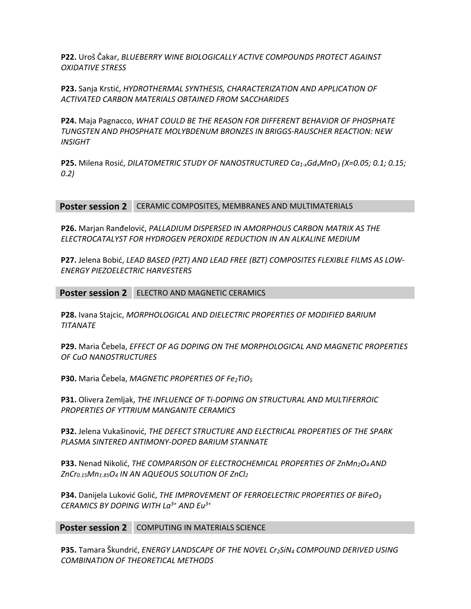**P22.** Uroš Čakar, *BLUEBERRY WINE BIOLOGICALLY ACTIVE COMPOUNDS PROTECT AGAINST OXIDATIVE STRESS* 

**P23.** Sanja Krstić, *HYDROTHERMAL SYNTHESIS, CHARACTERIZATION AND APPLICATION OF ACTIVATED CARBON MATERIALS OBTAINED FROM SACCHARIDES*

**P24.** Maja Pagnacco, *WHAT COULD BE THE REASON FOR DIFFERENT BEHAVIOR OF PHOSPHATE TUNGSTEN AND PHOSPHATE MOLYBDENUM BRONZES IN BRIGGS‐RAUSCHER REACTION: NEW INSIGHT* 

**P25.** Milena Rosić, *DILATOMETRIC STUDY OF NANOSTRUCTURED Ca1‐xGdxMnO3 (X=0.05; 0.1; 0.15; 0.2)* 

**Poster session 2**  CERAMIC COMPOSITES, MEMBRANES AND MULTIMATERIALS

**P26.** Marjan Ranđelović, *PALLADIUM DISPERSED IN AMORPHOUS CARBON MATRIX AS THE ELECTROCATALYST FOR HYDROGEN PEROXIDE REDUCTION IN AN ALKALINE MEDIUM*

**P27.** Jelena Bobić, *LEAD BASED (PZT) AND LEAD FREE (BZT) COMPOSITES FLEXIBLE FILMS AS LOW‐ ENERGY PIEZOELECTRIC HARVESTERS*

**Poster session 2**  ELECTRO AND MAGNETIC CERAMICS

**P28.** Ivana Stajcic, *MORPHOLOGICAL AND DIELECTRIC PROPERTIES OF MODIFIED BARIUM TITANATE* 

**P29.** Maria Čebela, *EFFECT OF AG DOPING ON THE MORPHOLOGICAL AND MAGNETIC PROPERTIES OF CuO NANOSTRUCTURES* 

**P30.** Maria Čebela, *MAGNETIC PROPERTIES OF Fe<sub>2</sub>TiO<sub>5</sub>* 

**P31.** Olivera Zemljak, *THE INFLUENCE OF Ti‐DOPING ON STRUCTURAL AND MULTIFERROIC PROPERTIES OF YTTRIUM MANGANITE CERAMICS* 

**P32.** Jelena Vukašinović, *THE DEFECT STRUCTURE AND ELECTRICAL PROPERTIES OF THE SPARK PLASMA SINTERED ANTIMONY‐DOPED BARIUM STANNATE* 

**P33.** Nenad Nikolić, *THE COMPARISON OF ELECTROCHEMICAL PROPERTIES OF ZnMn<sub>2</sub>O<sub>4</sub> AND ZnCr0.15Mn1.85O4 IN AN AQUEOUS SOLUTION OF ZnCl2*

**P34.** Danijela Luković Golić, *THE IMPROVEMENT OF FERROELECTRIC PROPERTIES OF BiFeO3 CERAMICS BY DOPING WITH La3+ AND Eu3+*

**Poster session 2** COMPUTING IN MATERIALS SCIENCE

**P35.** Tamara Škundrić, *ENERGY LANDSCAPE OF THE NOVEL Cr2SiN4 COMPOUND DERIVED USING COMBINATION OF THEORETICAL METHODS*